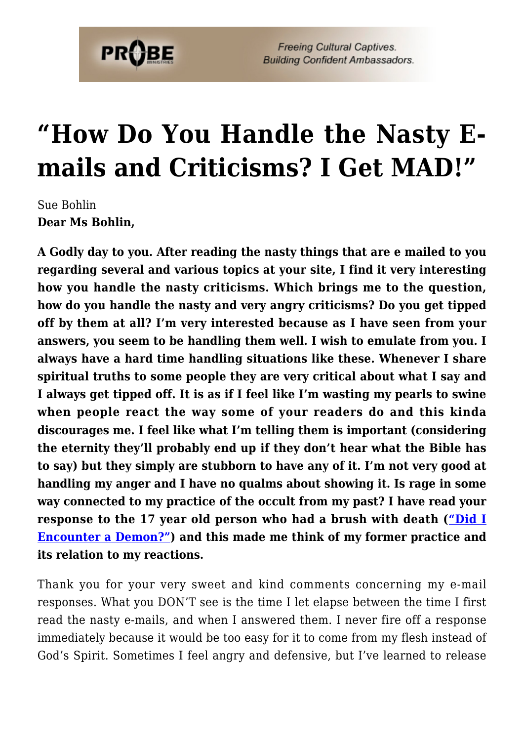

**Freeing Cultural Captives. Building Confident Ambassadors.** 

## **["How Do You Handle the Nasty E](https://probe.org/how-do-you-handle-the-nasty-e-mails-and-criticisms-i-get-mad/)[mails and Criticisms? I Get MAD!"](https://probe.org/how-do-you-handle-the-nasty-e-mails-and-criticisms-i-get-mad/)**

Sue Bohlin **Dear Ms Bohlin,**

**A Godly day to you. After reading the nasty things that are e mailed to you regarding several and various topics at your site, I find it very interesting how you handle the nasty criticisms. Which brings me to the question, how do you handle the nasty and very angry criticisms? Do you get tipped off by them at all? I'm very interested because as I have seen from your answers, you seem to be handling them well. I wish to emulate from you. I always have a hard time handling situations like these. Whenever I share spiritual truths to some people they are very critical about what I say and I always get tipped off. It is as if I feel like I'm wasting my pearls to swine when people react the way some of your readers do and this kinda discourages me. I feel like what I'm telling them is important (considering the eternity they'll probably end up if they don't hear what the Bible has to say) but they simply are stubborn to have any of it. I'm not very good at handling my anger and I have no qualms about showing it. Is rage in some way connected to my practice of the occult from my past? I have read your response to the 17 year old person who had a brush with death (["Did I](http://www.probe.org/site/c.fdKEIMNsEoG/b.4223407/k.5E53/Did_I_Encounter_a_Demon.htm) [Encounter a Demon?"\)](http://www.probe.org/site/c.fdKEIMNsEoG/b.4223407/k.5E53/Did_I_Encounter_a_Demon.htm) and this made me think of my former practice and its relation to my reactions.**

Thank you for your very sweet and kind comments concerning my e-mail responses. What you DON'T see is the time I let elapse between the time I first read the nasty e-mails, and when I answered them. I never fire off a response immediately because it would be too easy for it to come from my flesh instead of God's Spirit. Sometimes I feel angry and defensive, but I've learned to release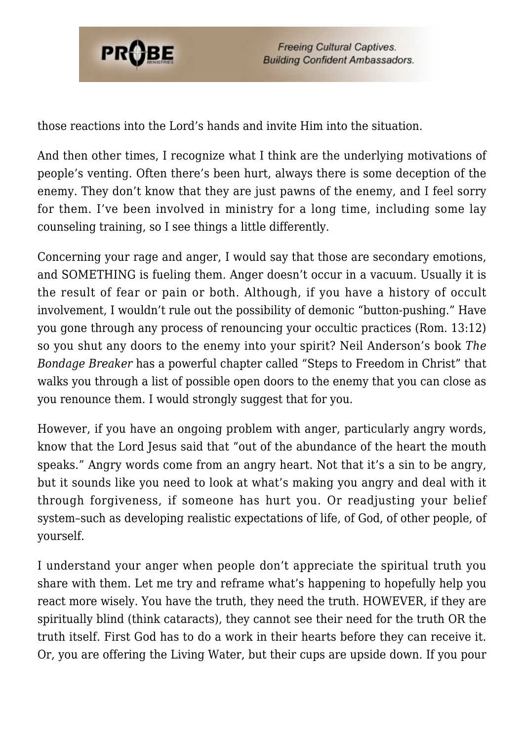

**Freeing Cultural Captives. Building Confident Ambassadors.** 

those reactions into the Lord's hands and invite Him into the situation.

And then other times, I recognize what I think are the underlying motivations of people's venting. Often there's been hurt, always there is some deception of the enemy. They don't know that they are just pawns of the enemy, and I feel sorry for them. I've been involved in ministry for a long time, including some lay counseling training, so I see things a little differently.

Concerning your rage and anger, I would say that those are secondary emotions, and SOMETHING is fueling them. Anger doesn't occur in a vacuum. Usually it is the result of fear or pain or both. Although, if you have a history of occult involvement, I wouldn't rule out the possibility of demonic "button-pushing." Have you gone through any process of renouncing your occultic practices (Rom. 13:12) so you shut any doors to the enemy into your spirit? Neil Anderson's book *The Bondage Breaker* has a powerful chapter called "Steps to Freedom in Christ" that walks you through a list of possible open doors to the enemy that you can close as you renounce them. I would strongly suggest that for you.

However, if you have an ongoing problem with anger, particularly angry words, know that the Lord Jesus said that "out of the abundance of the heart the mouth speaks." Angry words come from an angry heart. Not that it's a sin to be angry, but it sounds like you need to look at what's making you angry and deal with it through forgiveness, if someone has hurt you. Or readjusting your belief system–such as developing realistic expectations of life, of God, of other people, of yourself.

I understand your anger when people don't appreciate the spiritual truth you share with them. Let me try and reframe what's happening to hopefully help you react more wisely. You have the truth, they need the truth. HOWEVER, if they are spiritually blind (think cataracts), they cannot see their need for the truth OR the truth itself. First God has to do a work in their hearts before they can receive it. Or, you are offering the Living Water, but their cups are upside down. If you pour